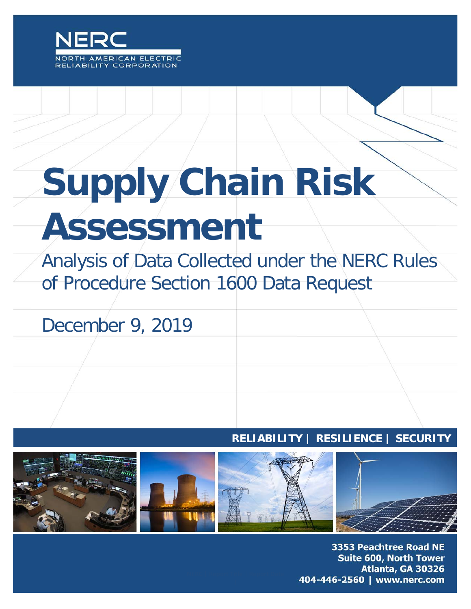

# **Supply Chain Risk Assessment**

Analysis of Data Collected under the NERC Rules of Procedure Section 1600 Data Request

December 9, 2019

#### **RELIABILITY | RESILIENCE | SECURITY**



3353 Peachtree Road NE **Suite 600, North Tower** Atlanta, GA 30326 404-446-2560 | www.nerc.com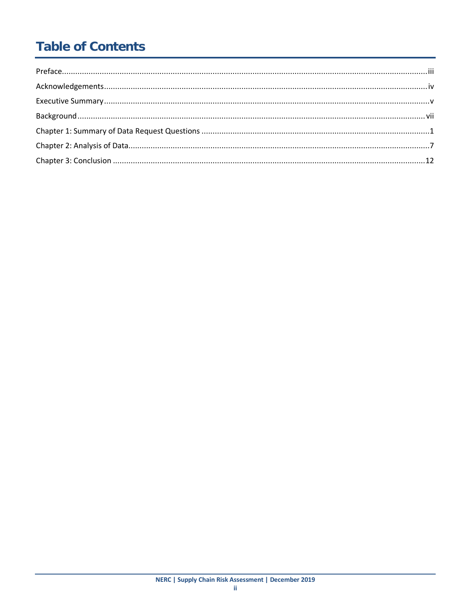# **Table of Contents**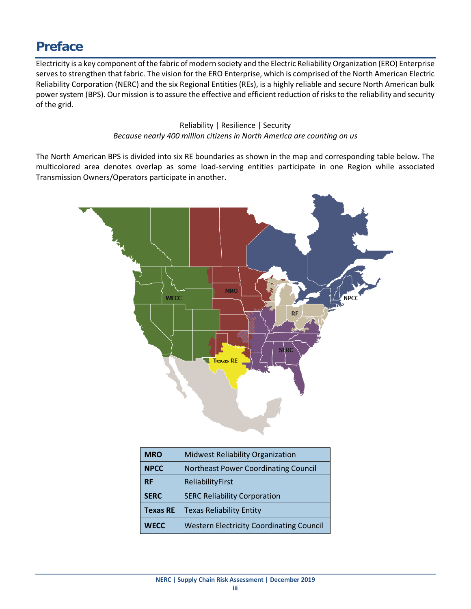#### <span id="page-2-0"></span>**Preface**

Electricity is a key component of the fabric of modern society and the Electric Reliability Organization (ERO) Enterprise serves to strengthen that fabric. The vision for the ERO Enterprise, which is comprised of the North American Electric Reliability Corporation (NERC) and the six Regional Entities (REs), is a highly reliable and secure North American bulk power system (BPS). Our mission is to assure the effective and efficient reduction of risks to the reliability and security of the grid.

#### Reliability | Resilience | Security *Because nearly 400 million citizens in North America are counting on us*

The North American BPS is divided into six RE boundaries as shown in the map and corresponding table below. The multicolored area denotes overlap as some load-serving entities participate in one Region while associated Transmission Owners/Operators participate in another.



| <b>MRO</b>      | <b>Midwest Reliability Organization</b>         |
|-----------------|-------------------------------------------------|
| <b>NPCC</b>     | <b>Northeast Power Coordinating Council</b>     |
| <b>RF</b>       | ReliabilityFirst                                |
| <b>SERC</b>     | <b>SERC Reliability Corporation</b>             |
| <b>Texas RE</b> | <b>Texas Reliability Entity</b>                 |
| <b>WECC</b>     | <b>Western Electricity Coordinating Council</b> |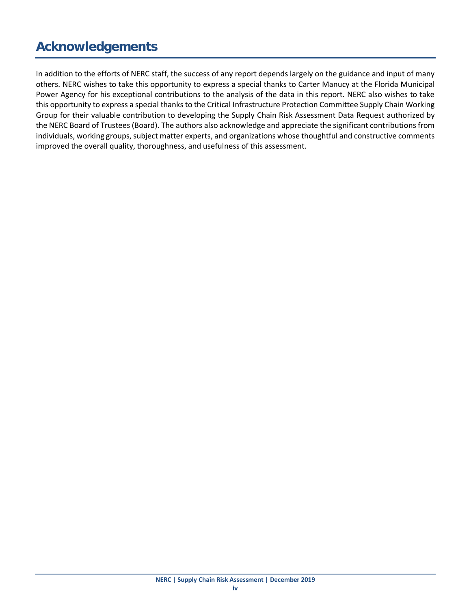# <span id="page-3-0"></span>**Acknowledgements**

In addition to the efforts of NERC staff, the success of any report depends largely on the guidance and input of many others. NERC wishes to take this opportunity to express a special thanks to Carter Manucy at the Florida Municipal Power Agency for his exceptional contributions to the analysis of the data in this report. NERC also wishes to take this opportunity to express a special thanks to the Critical Infrastructure Protection Committee Supply Chain Working Group for their valuable contribution to developing the Supply Chain Risk Assessment Data Request authorized by the NERC Board of Trustees (Board). The authors also acknowledge and appreciate the significant contributions from individuals, working groups, subject matter experts, and organizations whose thoughtful and constructive comments improved the overall quality, thoroughness, and usefulness of this assessment.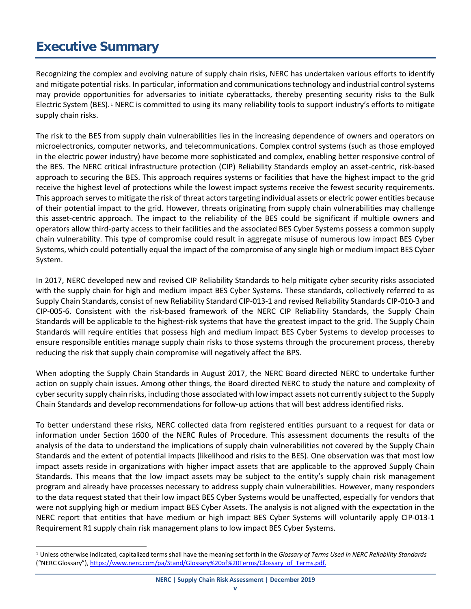# <span id="page-4-0"></span>**Executive Summary**

Recognizing the complex and evolving nature of supply chain risks, NERC has undertaken various efforts to identify and mitigate potential risks. In particular, information and communications technology and industrial control systems may provide opportunities for adversaries to initiate cyberattacks, thereby presenting security risks to the Bulk Electric System (BES). [1](#page-4-1) NERC is committed to using its many reliability tools to support industry's efforts to mitigate supply chain risks.

The risk to the BES from supply chain vulnerabilities lies in the increasing dependence of owners and operators on microelectronics, computer networks, and telecommunications. Complex control systems (such as those employed in the electric power industry) have become more sophisticated and complex, enabling better responsive control of the BES. The NERC critical infrastructure protection (CIP) Reliability Standards employ an asset-centric, risk-based approach to securing the BES. This approach requires systems or facilities that have the highest impact to the grid receive the highest level of protections while the lowest impact systems receive the fewest security requirements. This approach serves to mitigate the risk of threat actors targeting individual assets or electric power entities because of their potential impact to the grid. However, threats originating from supply chain vulnerabilities may challenge this asset-centric approach. The impact to the reliability of the BES could be significant if multiple owners and operators allow third-party access to their facilities and the associated BES Cyber Systems possess a common supply chain vulnerability. This type of compromise could result in aggregate misuse of numerous low impact BES Cyber Systems, which could potentially equal the impact of the compromise of any single high or medium impact BES Cyber System.

In 2017, NERC developed new and revised CIP Reliability Standards to help mitigate cyber security risks associated with the supply chain for high and medium impact BES Cyber Systems. These standards, collectively referred to as Supply Chain Standards, consist of new Reliability Standard CIP-013-1 and revised Reliability Standards CIP-010-3 and CIP-005-6. Consistent with the risk-based framework of the NERC CIP Reliability Standards, the Supply Chain Standards will be applicable to the highest-risk systems that have the greatest impact to the grid. The Supply Chain Standards will require entities that possess high and medium impact BES Cyber Systems to develop processes to ensure responsible entities manage supply chain risks to those systems through the procurement process, thereby reducing the risk that supply chain compromise will negatively affect the BPS.

When adopting the Supply Chain Standards in August 2017, the NERC Board directed NERC to undertake further action on supply chain issues. Among other things, the Board directed NERC to study the nature and complexity of cyber security supply chain risks, including those associated with low impact assets not currently subject to the Supply Chain Standards and develop recommendations for follow-up actions that will best address identified risks.

To better understand these risks, NERC collected data from registered entities pursuant to a request for data or information under Section 1600 of the NERC Rules of Procedure. This assessment documents the results of the analysis of the data to understand the implications of supply chain vulnerabilities not covered by the Supply Chain Standards and the extent of potential impacts (likelihood and risks to the BES). One observation was that most low impact assets reside in organizations with higher impact assets that are applicable to the approved Supply Chain Standards. This means that the low impact assets may be subject to the entity's supply chain risk management program and already have processes necessary to address supply chain vulnerabilities. However, many responders to the data request stated that their low impact BES Cyber Systems would be unaffected, especially for vendors that were not supplying high or medium impact BES Cyber Assets. The analysis is not aligned with the expectation in the NERC report that entities that have medium or high impact BES Cyber Systems will voluntarily apply CIP-013-1 Requirement R1 supply chain risk management plans to low impact BES Cyber Systems.

<span id="page-4-1"></span> <sup>1</sup> Unless otherwise indicated, capitalized terms shall have the meaning set forth in the *Glossary of Terms Used in NERC Reliability Standards* ("NERC Glossary")[, https://www.nerc.com/pa/Stand/Glossary%20of%20Terms/Glossary\\_of\\_Terms.pdf.](https://www.nerc.com/pa/Stand/Glossary%20of%20Terms/Glossary_of_Terms.pdf)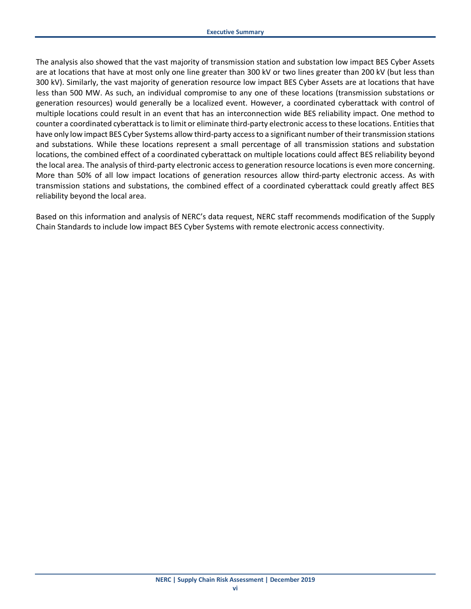The analysis also showed that the vast majority of transmission station and substation low impact BES Cyber Assets are at locations that have at most only one line greater than 300 kV or two lines greater than 200 kV (but less than 300 kV). Similarly, the vast majority of generation resource low impact BES Cyber Assets are at locations that have less than 500 MW. As such, an individual compromise to any one of these locations (transmission substations or generation resources) would generally be a localized event. However, a coordinated cyberattack with control of multiple locations could result in an event that has an interconnection wide BES reliability impact. One method to counter a coordinated cyberattack is to limit or eliminate third-party electronic access to these locations. Entities that have only low impact BES Cyber Systems allow third-party access to a significant number of their transmission stations and substations. While these locations represent a small percentage of all transmission stations and substation locations, the combined effect of a coordinated cyberattack on multiple locations could affect BES reliability beyond the local area. The analysis of third-party electronic access to generation resource locations is even more concerning. More than 50% of all low impact locations of generation resources allow third-party electronic access. As with transmission stations and substations, the combined effect of a coordinated cyberattack could greatly affect BES reliability beyond the local area.

Based on this information and analysis of NERC's data request, NERC staff recommends modification of the Supply Chain Standards to include low impact BES Cyber Systems with remote electronic access connectivity.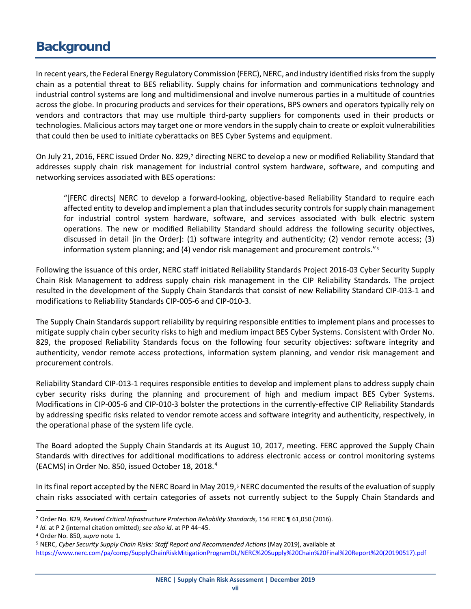## <span id="page-6-0"></span>**Background**

In recent years, the Federal Energy Regulatory Commission (FERC), NERC, and industry identified risks from the supply chain as a potential threat to BES reliability. Supply chains for information and communications technology and industrial control systems are long and multidimensional and involve numerous parties in a multitude of countries across the globe. In procuring products and services for their operations, BPS owners and operators typically rely on vendors and contractors that may use multiple third-party suppliers for components used in their products or technologies. Malicious actors may target one or more vendors in the supply chain to create or exploit vulnerabilities that could then be used to initiate cyberattacks on BES Cyber Systems and equipment.

On July [2](#page-6-1)1, 2016, FERC issued Order No. 829,<sup>2</sup> directing NERC to develop a new or modified Reliability Standard that addresses supply chain risk management for industrial control system hardware, software, and computing and networking services associated with BES operations:

"[FERC directs] NERC to develop a forward-looking, objective-based Reliability Standard to require each affected entity to develop and implement a plan that includes security controls for supply chain management for industrial control system hardware, software, and services associated with bulk electric system operations. The new or modified Reliability Standard should address the following security objectives, discussed in detail [in the Order]: (1) software integrity and authenticity; (2) vendor remote access; (3) information system planning; and (4) vendor risk management and procurement controls."[3](#page-6-2)

Following the issuance of this order, NERC staff initiated Reliability Standards Project 2016-03 Cyber Security Supply Chain Risk Management to address supply chain risk management in the CIP Reliability Standards. The project resulted in the development of the Supply Chain Standards that consist of new Reliability Standard CIP-013-1 and modifications to Reliability Standards CIP-005-6 and CIP-010-3.

The Supply Chain Standards support reliability by requiring responsible entities to implement plans and processes to mitigate supply chain cyber security risks to high and medium impact BES Cyber Systems. Consistent with Order No. 829, the proposed Reliability Standards focus on the following four security objectives: software integrity and authenticity, vendor remote access protections, information system planning, and vendor risk management and procurement controls.

Reliability Standard CIP-013-1 requires responsible entities to develop and implement plans to address supply chain cyber security risks during the planning and procurement of high and medium impact BES Cyber Systems. Modifications in CIP-005-6 and CIP-010-3 bolster the protections in the currently-effective CIP Reliability Standards by addressing specific risks related to vendor remote access and software integrity and authenticity, respectively, in the operational phase of the system life cycle.

The Board adopted the Supply Chain Standards at its August 10, 2017, meeting. FERC approved the Supply Chain Standards with directives for additional modifications to address electronic access or control monitoring systems (EACMS) in Order No. 850, issued October 18, 2018.<sup>[4](#page-6-3)</sup>

In its final report accepted by the NERC Board in May 2019, $5$  NERC documented the results of the evaluation of supply chain risks associated with certain categories of assets not currently subject to the Supply Chain Standards and

<span id="page-6-1"></span> <sup>2</sup> Order No. 829, *Revised Critical Infrastructure Protection Reliability Standards,* 156 FERC ¶ 61,050 (2016).

<span id="page-6-2"></span><sup>3</sup> *Id.* at P 2 (internal citation omitted); *see also id*. at PP 44–45.

<span id="page-6-4"></span><span id="page-6-3"></span><sup>&</sup>lt;sup>4</sup> Order No. 850, *supra* note 1.<br><sup>5</sup> NERC, *Cyber Security Supply Chain Risks: Staff Report and Recommended Actions (May 2019), available at* [https://www.nerc.com/pa/comp/SupplyChainRiskMitigationProgramDL/NERC%20Supply%20Chain%20Final%20Report%20\(20190517\).pdf](https://www.nerc.com/pa/comp/SupplyChainRiskMitigationProgramDL/NERC%20Supply%20Chain%20Final%20Report%20(20190517).pdf)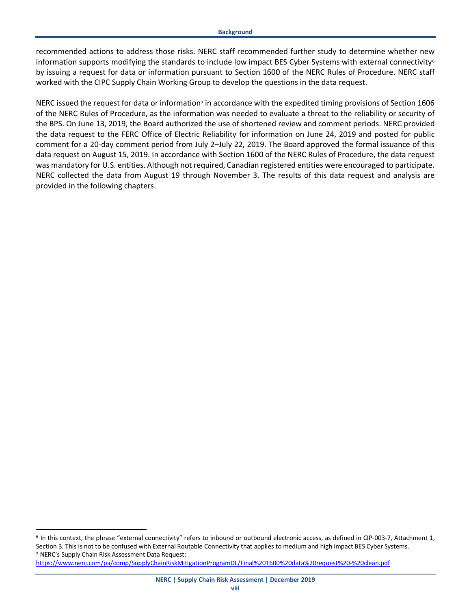recommended actions to address those risks. NERC staff recommended further study to determine whether new information supports modifying the standards to include low impact BES Cyber Systems with external connectivity $\epsilon$ by issuing a request for data or information pursuant to Section 1600 of the NERC Rules of Procedure. NERC staff worked with the CIPC Supply Chain Working Group to develop the questions in the data request.

NERC issued the request for data or information<sup>7</sup> in accordance with the expedited timing provisions of Section 1606 of the NERC Rules of Procedure, as the information was needed to evaluate a threat to the reliability or security of the BPS. On June 13, 2019, the Board authorized the use of shortened review and comment periods. NERC provided the data request to the FERC Office of Electric Reliability for information on June 24, 2019 and posted for public comment for a 20-day comment period from July 2–July 22, 2019. The Board approved the formal issuance of this data request on August 15, 2019. In accordance with Section 1600 of the NERC Rules of Procedure, the data request was mandatory for U.S. entities. Although not required, Canadian registered entities were encouraged to participate. NERC collected the data from August 19 through November 3. The results of this data request and analysis are provided in the following chapters.

<span id="page-7-0"></span> <sup>6</sup> In this context, the phrase "external connectivity" refers to inbound or outbound electronic access, as defined in CIP-003-7, Attachment 1, Section 3. This is not to be confused with External Routable Connectivity that applies to medium and high impact BES Cyber Systems. <sup>7</sup> NERC's Supply Chain Risk Assessment Data Request:

<span id="page-7-1"></span><https://www.nerc.com/pa/comp/SupplyChainRiskMitigationProgramDL/Final%201600%20data%20request%20-%20clean.pdf>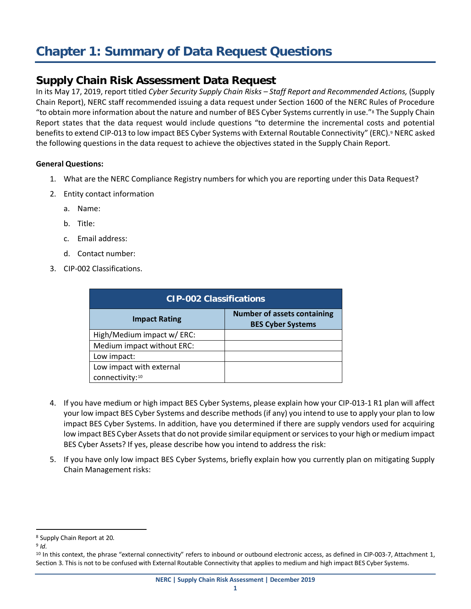# <span id="page-8-0"></span>**Chapter 1: Summary of Data Request Questions**

#### **Supply Chain Risk Assessment Data Request**

In its May 17, 2019, report titled *Cyber Security Supply Chain Risks – Staff Report and Recommended Actions,* (Supply Chain Report), NERC staff recommended issuing a data request under Section 1600 of the NERC Rules of Procedure "to obtain more information about the nature and number of BES Cyber Systems currently in use."[8](#page-8-1) The Supply Chain Report states that the data request would include questions "to determine the incremental costs and potential benefits to extend CIP-013 to low impact BES Cyber Systems with External Routable Connectivity" (ERC).[9](#page-8-2) NERC asked the following questions in the data request to achieve the objectives stated in the Supply Chain Report.

#### **General Questions:**

- 1. What are the NERC Compliance Registry numbers for which you are reporting under this Data Request?
- 2. Entity contact information
	- a. Name:
	- b. Title:
	- c. Email address:
	- d. Contact number:
- 3. CIP-002 Classifications.

| <b>CIP-002 Classifications</b> |                                                                |  |  |  |  |  |  |
|--------------------------------|----------------------------------------------------------------|--|--|--|--|--|--|
| <b>Impact Rating</b>           | <b>Number of assets containing</b><br><b>BES Cyber Systems</b> |  |  |  |  |  |  |
| High/Medium impact w/ ERC:     |                                                                |  |  |  |  |  |  |
| Medium impact without ERC:     |                                                                |  |  |  |  |  |  |
| Low impact:                    |                                                                |  |  |  |  |  |  |
| Low impact with external       |                                                                |  |  |  |  |  |  |
| connectivity:10                |                                                                |  |  |  |  |  |  |

- 4. If you have medium or high impact BES Cyber Systems, please explain how your CIP-013-1 R1 plan will affect your low impact BES Cyber Systems and describe methods (if any) you intend to use to apply your plan to low impact BES Cyber Systems. In addition, have you determined if there are supply vendors used for acquiring low impact BES Cyber Assets that do not provide similar equipment or services to your high or medium impact BES Cyber Assets? If yes, please describe how you intend to address the risk:
- 5. If you have only low impact BES Cyber Systems, briefly explain how you currently plan on mitigating Supply Chain Management risks:

<span id="page-8-1"></span> <sup>8</sup> Supply Chain Report at 20.

<span id="page-8-2"></span><sup>9</sup> *Id.*

<span id="page-8-3"></span><sup>&</sup>lt;sup>10</sup> In this context, the phrase "external connectivity" refers to inbound or outbound electronic access, as defined in CIP-003-7, Attachment 1, Section 3. This is not to be confused with External Routable Connectivity that applies to medium and high impact BES Cyber Systems.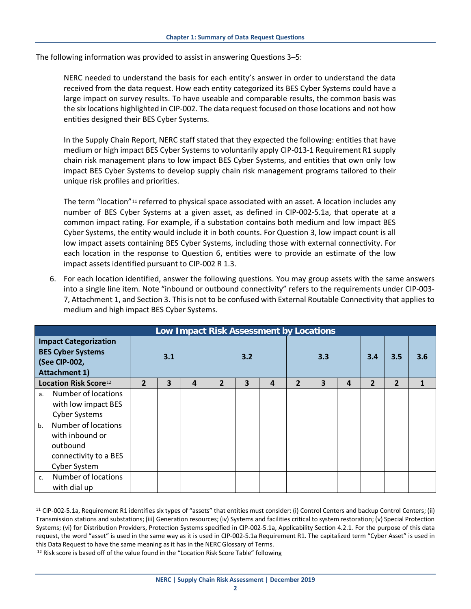The following information was provided to assist in answering Questions 3–5:

NERC needed to understand the basis for each entity's answer in order to understand the data received from the data request. How each entity categorized its BES Cyber Systems could have a large impact on survey results. To have useable and comparable results, the common basis was the six locations highlighted in CIP-002. The data request focused on those locations and not how entities designed their BES Cyber Systems.

In the Supply Chain Report, NERC staff stated that they expected the following: entities that have medium or high impact BES Cyber Systems to voluntarily apply CIP-013-1 Requirement R1 supply chain risk management plans to low impact BES Cyber Systems, and entities that own only low impact BES Cyber Systems to develop supply chain risk management programs tailored to their unique risk profiles and priorities.

The term "location"<sup>[11](#page-9-0)</sup> referred to physical space associated with an asset. A location includes any number of BES Cyber Systems at a given asset, as defined in CIP-002-5.1a, that operate at a common impact rating. For example, if a substation contains both medium and low impact BES Cyber Systems, the entity would include it in both counts. For Question 3, low impact count is all low impact assets containing BES Cyber Systems, including those with external connectivity. For each location in the response to Question 6, entities were to provide an estimate of the low impact assets identified pursuant to CIP-002 R 1.3.

6. For each location identified, answer the following questions. You may group assets with the same answers into a single line item. Note "inbound or outbound connectivity" refers to the requirements under CIP-003- 7, Attachment 1, and Section 3. This is not to be confused with External Routable Connectivity that applies to medium and high impact BES Cyber Systems.

| Low Impact Risk Assessment by Locations                                                           |                                                                                             |                |   |     |                |   |                |              |   |     |                |                |  |
|---------------------------------------------------------------------------------------------------|---------------------------------------------------------------------------------------------|----------------|---|-----|----------------|---|----------------|--------------|---|-----|----------------|----------------|--|
| <b>Impact Categorization</b><br><b>BES Cyber Systems</b><br>(See CIP-002,<br><b>Attachment 1)</b> |                                                                                             | 3.1            |   | 3.2 |                |   | 3.3            |              |   | 3.4 | 3.5            | 3.6            |  |
|                                                                                                   | Location Risk Score <sup>12</sup>                                                           | $\overline{2}$ | 3 | 4   | $\overline{2}$ | 3 | $\overline{a}$ | $\mathbf{2}$ | 3 | 4   | $\overline{2}$ | $\overline{2}$ |  |
| a <sub>z</sub>                                                                                    | Number of locations<br>with low impact BES<br><b>Cyber Systems</b>                          |                |   |     |                |   |                |              |   |     |                |                |  |
| b <sub>1</sub>                                                                                    | Number of locations<br>with inbound or<br>outbound<br>connectivity to a BES<br>Cyber System |                |   |     |                |   |                |              |   |     |                |                |  |
| C <sub>1</sub>                                                                                    | Number of locations<br>with dial up                                                         |                |   |     |                |   |                |              |   |     |                |                |  |

<span id="page-9-0"></span><sup>&</sup>lt;sup>11</sup> CIP-002-5.1a, Requirement R1 identifies six types of "assets" that entities must consider: (i) Control Centers and backup Control Centers; (ii) Transmission stations and substations; (iii) Generation resources; (iv) Systems and facilities critical to system restoration; (v) Special Protection Systems; (vi) for Distribution Providers, Protection Systems specified in CIP-002-5.1a, Applicability Section 4.2.1. For the purpose of this data request, the word "asset" is used in the same way as it is used in CIP-002-5.1a Requirement R1. The capitalized term "Cyber Asset" is used in this Data Request to have the same meaning as it has in the NERC Glossary of Terms.

<span id="page-9-1"></span><sup>&</sup>lt;sup>12</sup> Risk score is based off of the value found in the "Location Risk Score Table" following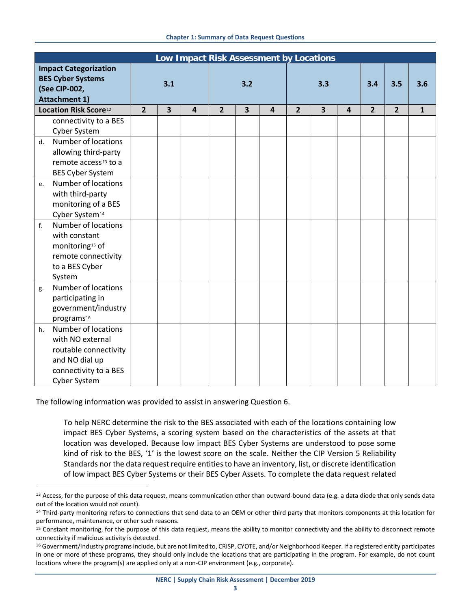|    | Low Impact Risk Assessment by Locations |                |                         |                |                |                         |                |                |                         |                |                |                |              |
|----|-----------------------------------------|----------------|-------------------------|----------------|----------------|-------------------------|----------------|----------------|-------------------------|----------------|----------------|----------------|--------------|
|    | <b>Impact Categorization</b>            |                |                         |                |                |                         |                |                |                         |                |                |                |              |
|    | <b>BES Cyber Systems</b>                |                |                         |                |                |                         |                |                |                         |                | 3.5            |                |              |
|    | (See CIP-002,                           | 3.1            |                         | 3.2            |                | 3.3                     |                |                | 3.4                     |                | 3.6            |                |              |
|    | <b>Attachment 1)</b>                    |                |                         |                |                |                         |                |                |                         |                |                |                |              |
|    | Location Risk Score <sup>12</sup>       | $\overline{2}$ | $\overline{\mathbf{3}}$ | $\overline{4}$ | $\overline{2}$ | $\overline{\mathbf{3}}$ | $\overline{4}$ | $\overline{2}$ | $\overline{\mathbf{3}}$ | $\overline{a}$ | $\overline{2}$ | $\overline{2}$ | $\mathbf{1}$ |
|    | connectivity to a BES                   |                |                         |                |                |                         |                |                |                         |                |                |                |              |
|    | Cyber System                            |                |                         |                |                |                         |                |                |                         |                |                |                |              |
|    | d. Number of locations                  |                |                         |                |                |                         |                |                |                         |                |                |                |              |
|    | allowing third-party                    |                |                         |                |                |                         |                |                |                         |                |                |                |              |
|    | remote access <sup>13</sup> to a        |                |                         |                |                |                         |                |                |                         |                |                |                |              |
|    | <b>BES Cyber System</b>                 |                |                         |                |                |                         |                |                |                         |                |                |                |              |
| e. | Number of locations                     |                |                         |                |                |                         |                |                |                         |                |                |                |              |
|    | with third-party                        |                |                         |                |                |                         |                |                |                         |                |                |                |              |
|    | monitoring of a BES                     |                |                         |                |                |                         |                |                |                         |                |                |                |              |
|    | Cyber System <sup>14</sup>              |                |                         |                |                |                         |                |                |                         |                |                |                |              |
| f. | Number of locations                     |                |                         |                |                |                         |                |                |                         |                |                |                |              |
|    | with constant                           |                |                         |                |                |                         |                |                |                         |                |                |                |              |
|    | monitoring <sup>15</sup> of             |                |                         |                |                |                         |                |                |                         |                |                |                |              |
|    | remote connectivity                     |                |                         |                |                |                         |                |                |                         |                |                |                |              |
|    | to a BES Cyber                          |                |                         |                |                |                         |                |                |                         |                |                |                |              |
|    | System                                  |                |                         |                |                |                         |                |                |                         |                |                |                |              |
| g. | Number of locations                     |                |                         |                |                |                         |                |                |                         |                |                |                |              |
|    | participating in                        |                |                         |                |                |                         |                |                |                         |                |                |                |              |
|    | government/industry                     |                |                         |                |                |                         |                |                |                         |                |                |                |              |
|    | programs <sup>16</sup>                  |                |                         |                |                |                         |                |                |                         |                |                |                |              |
| h. | Number of locations                     |                |                         |                |                |                         |                |                |                         |                |                |                |              |
|    | with NO external                        |                |                         |                |                |                         |                |                |                         |                |                |                |              |
|    | routable connectivity                   |                |                         |                |                |                         |                |                |                         |                |                |                |              |
|    | and NO dial up                          |                |                         |                |                |                         |                |                |                         |                |                |                |              |
|    | connectivity to a BES                   |                |                         |                |                |                         |                |                |                         |                |                |                |              |
|    | Cyber System                            |                |                         |                |                |                         |                |                |                         |                |                |                |              |

The following information was provided to assist in answering Question 6.

To help NERC determine the risk to the BES associated with each of the locations containing low impact BES Cyber Systems, a scoring system based on the characteristics of the assets at that location was developed. Because low impact BES Cyber Systems are understood to pose some kind of risk to the BES, '1' is the lowest score on the scale. Neither the CIP Version 5 Reliability Standards nor the data request require entities to have an inventory, list, or discrete identification of low impact BES Cyber Systems or their BES Cyber Assets. To complete the data request related

<span id="page-10-0"></span><sup>&</sup>lt;sup>13</sup> Access, for the purpose of this data request, means communication other than outward-bound data (e.g. a data diode that only sends data out of the location would not count).<br><sup>14</sup> Third-party monitoring refers to connections that send data to an OEM or other third party that monitors components at this location for

<span id="page-10-1"></span>performance, maintenance, or other such reasons.

<span id="page-10-2"></span><sup>&</sup>lt;sup>15</sup> Constant monitoring, for the purpose of this data request, means the ability to monitor connectivity and the ability to disconnect remote connectivity if malicious activity is detected.

<span id="page-10-3"></span><sup>&</sup>lt;sup>16</sup> Government/Industry programs include, but are not limited to, CRISP, CYOTE, and/or Neighborhood Keeper. If a registered entity participates in one or more of these programs, they should only include the locations that are participating in the program. For example, do not count locations where the program(s) are applied only at a non-CIP environment (e.g., corporate).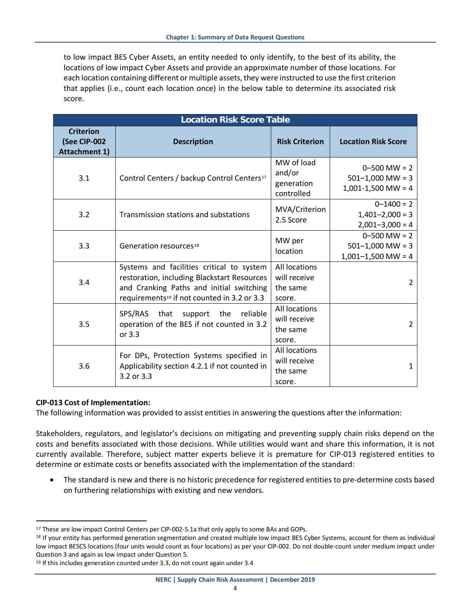to low impact BES Cyber Assets, an entity needed to only identify, to the best of its ability, the locations of low impact Cyber Assets and provide an approximate number of those locations. For each location containing different or multiple assets, they were instructed to use the first criterion that applies (i.e., count each location once) in the below table to determine its associated risk score.

| <b>Location Risk Score Table</b>                         |                                                                                                                                                                                                 |                                                            |                                                                  |  |  |  |  |  |  |
|----------------------------------------------------------|-------------------------------------------------------------------------------------------------------------------------------------------------------------------------------------------------|------------------------------------------------------------|------------------------------------------------------------------|--|--|--|--|--|--|
| <b>Criterion</b><br>(See CIP-002<br><b>Attachment 1)</b> | <b>Description</b>                                                                                                                                                                              | <b>Risk Criterion</b>                                      | <b>Location Risk Score</b>                                       |  |  |  |  |  |  |
| 3.1                                                      | Control Centers / backup Control Centers <sup>17</sup>                                                                                                                                          | MW of load<br>and/or<br>generation<br>controlled           | $0 - 500$ MW = 2<br>$501 - 1,000$ MW = 3<br>$1,001-1,500$ MW = 4 |  |  |  |  |  |  |
| 3.2                                                      | Transmission stations and substations                                                                                                                                                           | MVA/Criterion<br>2.5 Score                                 | $0 - 1400 = 2$<br>$1,401 - 2,000 = 3$<br>$2,001 - 3,000 = 4$     |  |  |  |  |  |  |
| 3.3                                                      | Generation resources <sup>18</sup>                                                                                                                                                              | MW per<br>location                                         | $0 - 500$ MW = 2<br>$501 - 1,000$ MW = 3<br>$1,001-1,500$ MW = 4 |  |  |  |  |  |  |
| 3.4                                                      | Systems and facilities critical to system<br>restoration, including Blackstart Resources<br>and Cranking Paths and initial switching<br>requirements <sup>19</sup> if not counted in 3.2 or 3.3 | <b>All locations</b><br>will receive<br>the same<br>score. | 2                                                                |  |  |  |  |  |  |
| 3.5                                                      | support the reliable<br>SPS/RAS that<br>operation of the BES if not counted in 3.2<br>or 3.3                                                                                                    | All locations<br>will receive<br>the same<br>score.        | $\overline{2}$                                                   |  |  |  |  |  |  |
| 3.6                                                      | For DPs, Protection Systems specified in<br>Applicability section 4.2.1 if not counted in<br>3.2 or 3.3                                                                                         | <b>All locations</b><br>will receive<br>the same<br>score. | 1                                                                |  |  |  |  |  |  |

#### **CIP-013 Cost of Implementation:**

The following information was provided to assist entities in answering the questions after the information:

Stakeholders, regulators, and legislator's decisions on mitigating and preventing supply chain risks depend on the costs and benefits associated with those decisions. While utilities would want and share this information, it is not currently available. Therefore, subject matter experts believe it is premature for CIP-013 registered entities to determine or estimate costs or benefits associated with the implementation of the standard:

• The standard is new and there is no historic precedence for registered entities to pre-determine costs based on furthering relationships with existing and new vendors.

<span id="page-11-0"></span><sup>&</sup>lt;sup>17</sup> These are low impact Control Centers per CIP-002-5.1a that only apply to some BAs and GOPs.

<span id="page-11-1"></span><sup>18</sup> If your entity has performed generation segmentation and created multiple low impact BES Cyber Systems, account for them as individual low impact BESCS locations (four units would count as four locations) as per your CIP-002. Do not double-count under medium impact under Question 3 and again as low impact under Question 5.

<span id="page-11-2"></span><sup>&</sup>lt;sup>19</sup> If this includes generation counted under 3.3, do not count again under 3.4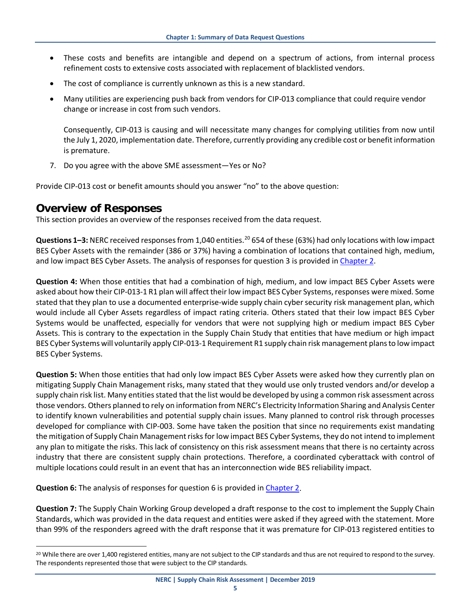- These costs and benefits are intangible and depend on a spectrum of actions, from internal process refinement costs to extensive costs associated with replacement of blacklisted vendors.
- The cost of compliance is currently unknown as this is a new standard.
- Many utilities are experiencing push back from vendors for CIP-013 compliance that could require vendor change or increase in cost from such vendors.

Consequently, CIP-013 is causing and will necessitate many changes for complying utilities from now until the July 1, 2020, implementation date. Therefore, currently providing any credible cost or benefit information is premature.

7. Do you agree with the above SME assessment—Yes or No?

Provide CIP-013 cost or benefit amounts should you answer "no" to the above question:

#### **Overview of Responses**

This section provides an overview of the responses received from the data request.

**Questions 1–3:** NERC received responses from 1,040 entities. [20](#page-12-0) 654 of these (63%) had only locations with low impact BES Cyber Assets with the remainder (386 or 37%) having a combination of locations that contained high, medium, and low impact BES Cyber Assets. The analysis of responses for question 3 is provided in Chapter 2.

**Question 4:** When those entities that had a combination of high, medium, and low impact BES Cyber Assets were asked about how their CIP-013-1 R1 plan will affect their low impact BES Cyber Systems, responses were mixed. Some stated that they plan to use a documented enterprise-wide supply chain cyber security risk management plan, which would include all Cyber Assets regardless of impact rating criteria. Others stated that their low impact BES Cyber Systems would be unaffected, especially for vendors that were not supplying high or medium impact BES Cyber Assets. This is contrary to the expectation in the Supply Chain Study that entities that have medium or high impact BES Cyber Systems will voluntarily apply CIP-013-1 Requirement R1 supply chain risk management plans to low impact BES Cyber Systems.

**Question 5:** When those entities that had only low impact BES Cyber Assets were asked how they currently plan on mitigating Supply Chain Management risks, many stated that they would use only trusted vendors and/or develop a supply chain risk list. Many entities stated that the list would be developed by using a common risk assessment across those vendors. Others planned to rely on information from NERC's Electricity Information Sharing and Analysis Center to identify known vulnerabilities and potential supply chain issues. Many planned to control risk through processes developed for compliance with CIP-003. Some have taken the position that since no requirements exist mandating the mitigation of Supply Chain Management risks for low impact BES Cyber Systems, they do not intend to implement any plan to mitigate the risks. This lack of consistency on this risk assessment means that there is no certainty across industry that there are consistent supply chain protections. Therefore, a coordinated cyberattack with control of multiple locations could result in an event that has an interconnection wide BES reliability impact.

**Question 6:** The analysis of responses for question 6 is provided in Chapter 2.

**Question 7:** The Supply Chain Working Group developed a draft response to the cost to implement the Supply Chain Standards, which was provided in the data request and entities were asked if they agreed with the statement. More than 99% of the responders agreed with the draft response that it was premature for CIP-013 registered entities to

<span id="page-12-0"></span><sup>&</sup>lt;sup>20</sup> While there are over 1,400 registered entities, many are not subject to the CIP standards and thus are not required to respond to the survey. The respondents represented those that were subject to the CIP standards.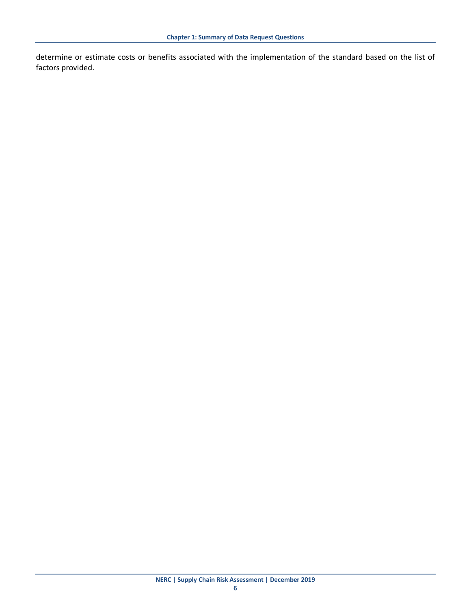determine or estimate costs or benefits associated with the implementation of the standard based on the list of factors provided.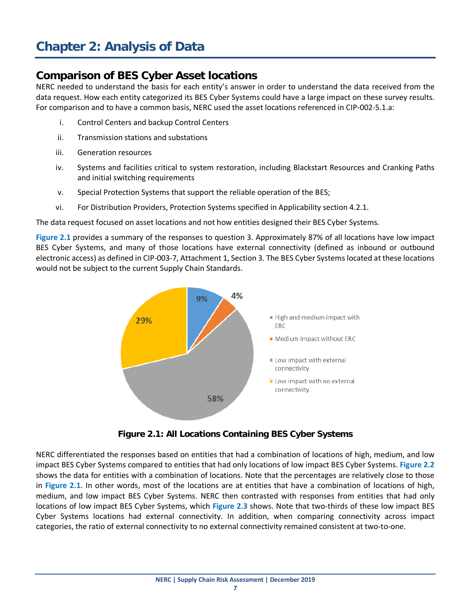## <span id="page-14-0"></span>**Chapter 2: Analysis of Data**

#### **Comparison of BES Cyber Asset locations**

NERC needed to understand the basis for each entity's answer in order to understand the data received from the data request. How each entity categorized its BES Cyber Systems could have a large impact on these survey results. For comparison and to have a common basis, NERC used the asset locations referenced in CIP-002-5.1.a:

- i. Control Centers and backup Control Centers
- ii. Transmission stations and substations
- iii. Generation resources
- iv. Systems and facilities critical to system restoration, including Blackstart Resources and Cranking Paths and initial switching requirements
- v. Special Protection Systems that support the reliable operation of the BES;
- vi. For Distribution Providers, Protection Systems specified in Applicability section 4.2.1.

The data request focused on asset locations and not how entities designed their BES Cyber Systems.

**Figure 2.1** provides a summary of the responses to question 3. Approximately 87% of all locations have low impact BES Cyber Systems, and many of those locations have external connectivity (defined as inbound or outbound electronic access) as defined in CIP-003-7, Attachment 1, Section 3. The BES Cyber Systems located at these locations would not be subject to the current Supply Chain Standards.



**Figure 2.1: All Locations Containing BES Cyber Systems**

NERC differentiated the responses based on entities that had a combination of locations of high, medium, and low impact BES Cyber Systems compared to entities that had only locations of low impact BES Cyber Systems. **Figure 2.2** shows the data for entities with a combination of locations. Note that the percentages are relatively close to those in **Figure 2.1**. In other words, most of the locations are at entities that have a combination of locations of high, medium, and low impact BES Cyber Systems. NERC then contrasted with responses from entities that had only locations of low impact BES Cyber Systems, which **Figure 2.3** shows. Note that two-thirds of these low impact BES Cyber Systems locations had external connectivity. In addition, when comparing connectivity across impact categories, the ratio of external connectivity to no external connectivity remained consistent at two-to-one.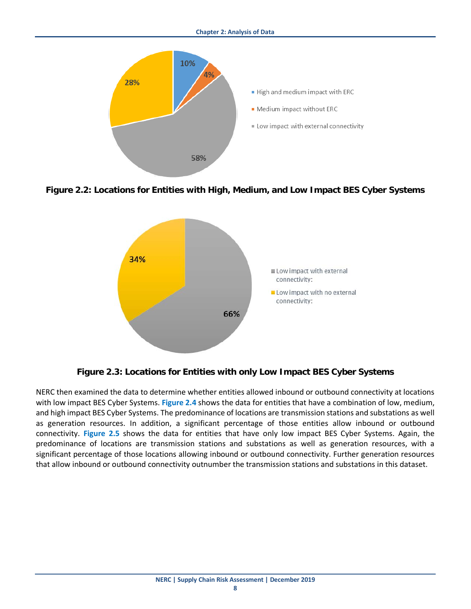

**Figure 2.2: Locations for Entities with High, Medium, and Low Impact BES Cyber Systems** 



**Figure 2.3: Locations for Entities with only Low Impact BES Cyber Systems** 

NERC then examined the data to determine whether entities allowed inbound or outbound connectivity at locations with low impact BES Cyber Systems. **Figure 2.4** shows the data for entities that have a combination of low, medium, and high impact BES Cyber Systems. The predominance of locations are transmission stations and substations as well as generation resources. In addition, a significant percentage of those entities allow inbound or outbound connectivity. **Figure 2.5** shows the data for entities that have only low impact BES Cyber Systems. Again, the predominance of locations are transmission stations and substations as well as generation resources, with a significant percentage of those locations allowing inbound or outbound connectivity. Further generation resources that allow inbound or outbound connectivity outnumber the transmission stations and substations in this dataset.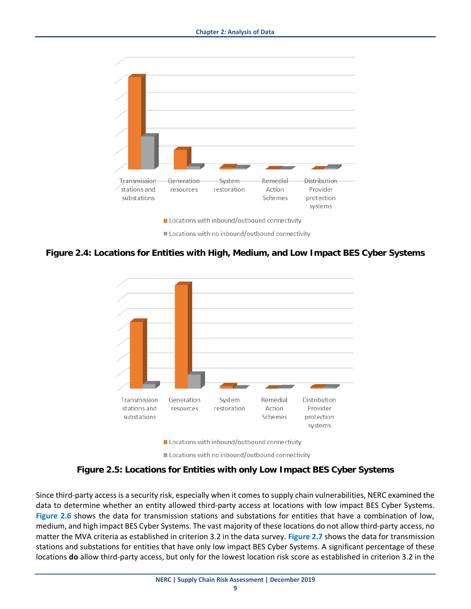

**Figure 2.4: Locations for Entities with High, Medium, and Low Impact BES Cyber Systems** 



**Figure 2.5: Locations for Entities with only Low Impact BES Cyber Systems** 

Since third-party access is a security risk, especially when it comes to supply chain vulnerabilities, NERC examined the data to determine whether an entity allowed third-party access at locations with low impact BES Cyber Systems. **Figure 2.6** shows the data for transmission stations and substations for entities that have a combination of low, medium, and high impact BES Cyber Systems. The vast majority of these locations do not allow third-party access, no matter the MVA criteria as established in criterion 3.2 in the data survey. **Figure 2.7** shows the data for transmission stations and substations for entities that have only low impact BES Cyber Systems. A significant percentage of these locations **do** allow third-party access, but only for the lowest location risk score as established in criterion 3.2 in the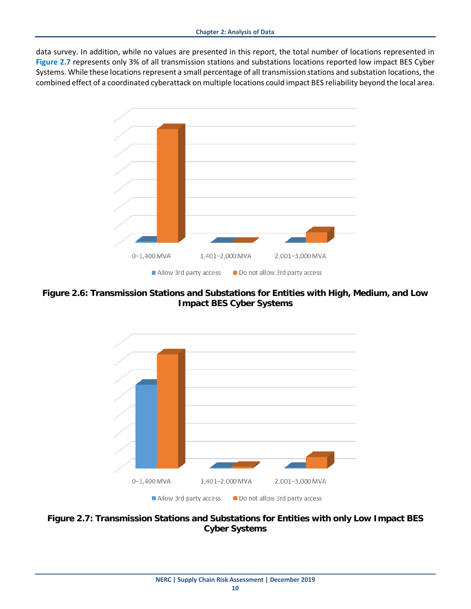data survey. In addition, while no values are presented in this report, the total number of locations represented in **Figure 2.7** represents only 3% of all transmission stations and substations locations reported low impact BES Cyber Systems. While these locations represent a small percentage of all transmission stations and substation locations, the combined effect of a coordinated cyberattack on multiple locations could impact BES reliability beyond the local area.



**Figure 2.6: Transmission Stations and Substations for Entities with High, Medium, and Low Impact BES Cyber Systems** 



**Figure 2.7: Transmission Stations and Substations for Entities with only Low Impact BES Cyber Systems**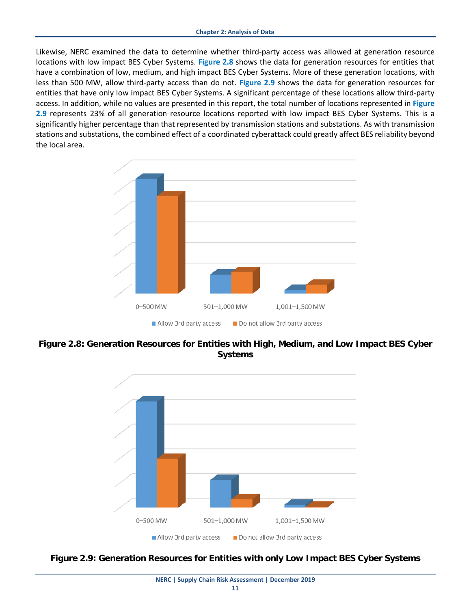Likewise, NERC examined the data to determine whether third-party access was allowed at generation resource locations with low impact BES Cyber Systems. **Figure 2.8** shows the data for generation resources for entities that have a combination of low, medium, and high impact BES Cyber Systems. More of these generation locations, with less than 500 MW, allow third-party access than do not. **Figure 2.9** shows the data for generation resources for entities that have only low impact BES Cyber Systems. A significant percentage of these locations allow third-party access. In addition, while no values are presented in this report, the total number of locations represented in **Figure 2.9** represents 23% of all generation resource locations reported with low impact BES Cyber Systems. This is a significantly higher percentage than that represented by transmission stations and substations. As with transmission stations and substations, the combined effect of a coordinated cyberattack could greatly affect BES reliability beyond the local area.



**Figure 2.8: Generation Resources for Entities with High, Medium, and Low Impact BES Cyber Systems**



**Figure 2.9: Generation Resources for Entities with only Low Impact BES Cyber Systems**